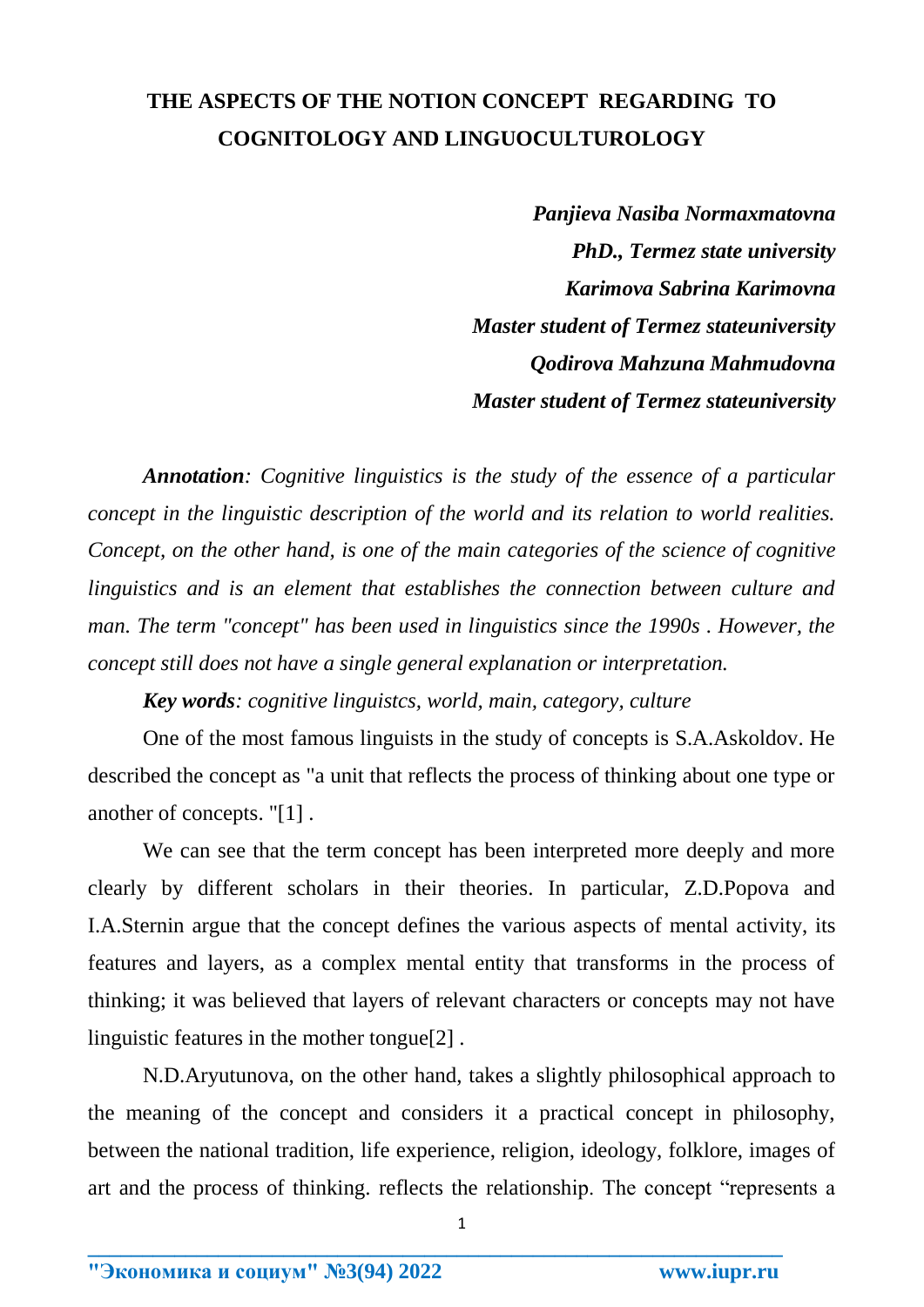## **THE ASPECTS OF THE NOTION CONCEPT REGARDING TO COGNITOLOGY AND LINGUOCULTUROLOGY**

*Panjieva Nasiba Normaxmatovna PhD., Termez state university Karimova Sabrina Karimovna Master student of Termez stateuniversity Qodirova Mahzuna Mahmudovna Master student of Termez stateuniversity*

*Annotation: Cognitive linguistics is the study of the essence of a particular concept in the linguistic description of the world and its relation to world realities. Concept, on the other hand, is one of the main categories of the science of cognitive linguistics and is an element that establishes the connection between culture and man. The term "concept" has been used in linguistics since the 1990s . However, the concept still does not have a single general explanation or interpretation.*

*Key words: cognitive linguistcs, world, main, category, culture*

One of the most famous linguists in the study of concepts is S.A.Askoldov. He described the concept as "a unit that reflects the process of thinking about one type or another of concepts. "[1] .

We can see that the term concept has been interpreted more deeply and more clearly by different scholars in their theories. In particular, Z.D.Popova and I.A.Sternin argue that the concept defines the various aspects of mental activity, its features and layers, as a complex mental entity that transforms in the process of thinking; it was believed that layers of relevant characters or concepts may not have linguistic features in the mother tongue[2] .

N.D.Aryutunova, on the other hand, takes a slightly philosophical approach to the meaning of the concept and considers it a practical concept in philosophy, between the national tradition, life experience, religion, ideology, folklore, images of art and the process of thinking. reflects the relationship. The concept "represents a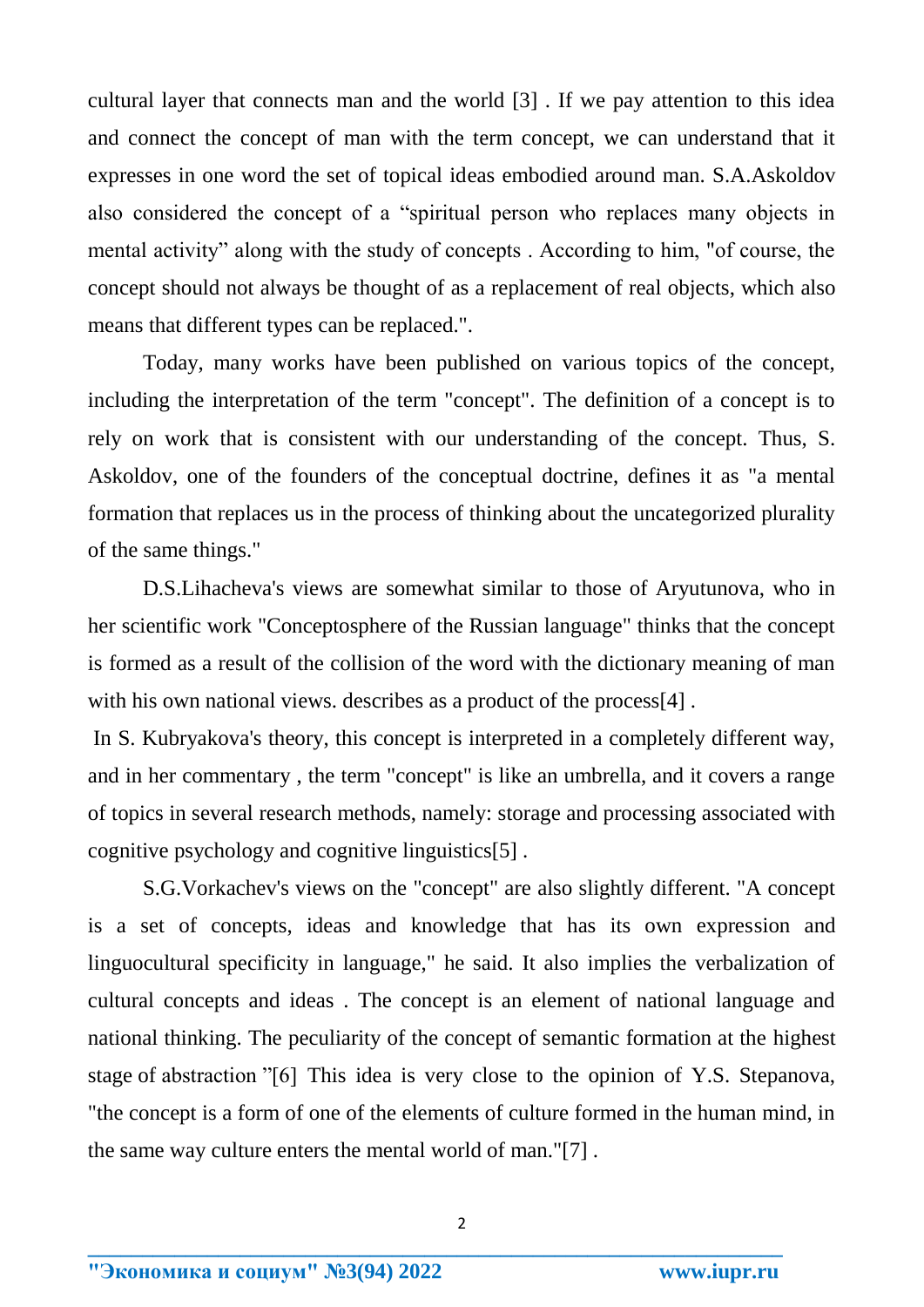cultural layer that connects man and the world [3] . If we pay attention to this idea and connect the concept of man with the term concept, we can understand that it expresses in one word the set of topical ideas embodied around man. S.A.Askoldov also considered the concept of a "spiritual person who replaces many objects in mental activity" along with the study of concepts . According to him, "of course, the concept should not always be thought of as a replacement of real objects, which also means that different types can be replaced.".

Today, many works have been published on various topics of the concept, including the interpretation of the term "concept". The definition of a concept is to rely on work that is consistent with our understanding of the concept. Thus, S. Askoldov, one of the founders of the conceptual doctrine, defines it as "a mental formation that replaces us in the process of thinking about the uncategorized plurality of the same things."

D.S.Lihacheva's views are somewhat similar to those of Aryutunova, who in her scientific work "Conceptosphere of the Russian language" thinks that the concept is formed as a result of the collision of the word with the dictionary meaning of man with his own national views. describes as a product of the process[4].

In S. Kubryakova's theory, this concept is interpreted in a completely different way, and in her commentary , the term "concept" is like an umbrella, and it covers a range of topics in several research methods, namely: storage and processing associated with cognitive psychology and cognitive linguistics[5] .

S.G.Vorkachev's views on the "concept" are also slightly different. "A concept is a set of concepts, ideas and knowledge that has its own expression and linguocultural specificity in language," he said. It also implies the verbalization of cultural concepts and ideas . The concept is an element of national language and national thinking. The peculiarity of the concept of semantic formation at the highest stage of abstraction "[6] This idea is very close to the opinion of Y.S. Stepanova, "the concept is a form of one of the elements of culture formed in the human mind, in the same way culture enters the mental world of man."[7] .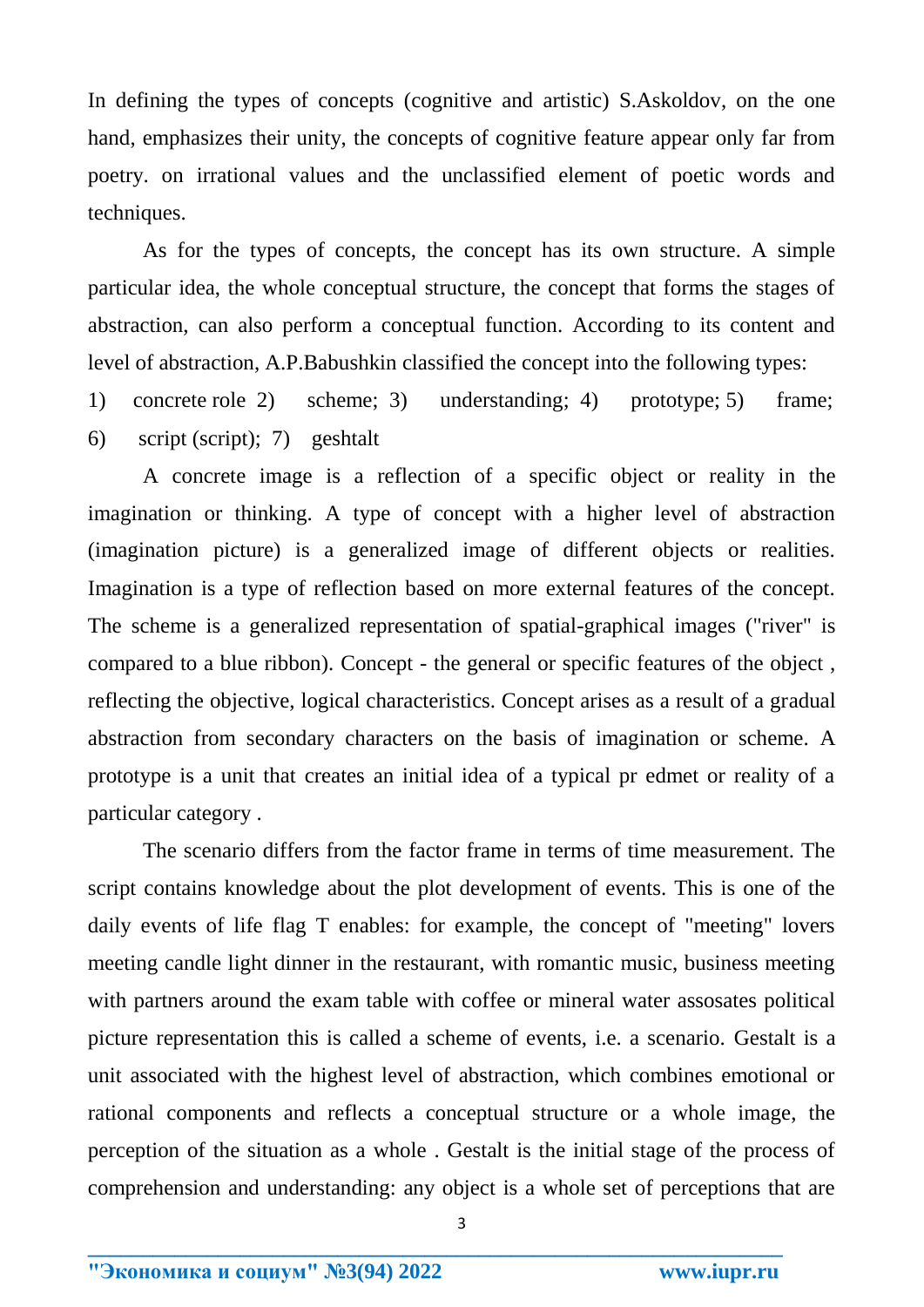In defining the types of concepts (cognitive and artistic) S.Askoldov, on the one hand, emphasizes their unity, the concepts of cognitive feature appear only far from poetry. on irrational values and the unclassified element of poetic words and techniques.

As for the types of concepts, the concept has its own structure. A simple particular idea, the whole conceptual structure, the concept that forms the stages of abstraction, can also perform a conceptual function. According to its content and level of abstraction, A.P.Babushkin classified the concept into the following types:

1) concrete role 2) scheme; 3) understanding; 4) prototype; 5) frame; 6) script (script); 7) geshtalt

A concrete image is a reflection of a specific object or reality in the imagination or thinking. A type of concept with a higher level of abstraction (imagination picture) is a generalized image of different objects or realities. Imagination is a type of reflection based on more external features of the concept. The scheme is a generalized representation of spatial-graphical images ("river" is compared to a blue ribbon). Concept - the general or specific features of the object , reflecting the objective, logical characteristics. Concept arises as a result of a gradual abstraction from secondary characters on the basis of imagination or scheme. A prototype is a unit that creates an initial idea of a typical pr edmet or reality of a particular category .

The scenario differs from the factor frame in terms of time measurement. The script contains knowledge about the plot development of events. This is one of the daily events of life flag T enables: for example, the concept of "meeting" lovers meeting candle light dinner in the restaurant, with romantic music, business meeting with partners around the exam table with coffee or mineral water assosates political picture representation this is called a scheme of events, i.e. a scenario. Gestalt is a unit associated with the highest level of abstraction, which combines emotional or rational components and reflects a conceptual structure or a whole image, the perception of the situation as a whole . Gestalt is the initial stage of the process of comprehension and understanding: any object is a whole set of perceptions that are

3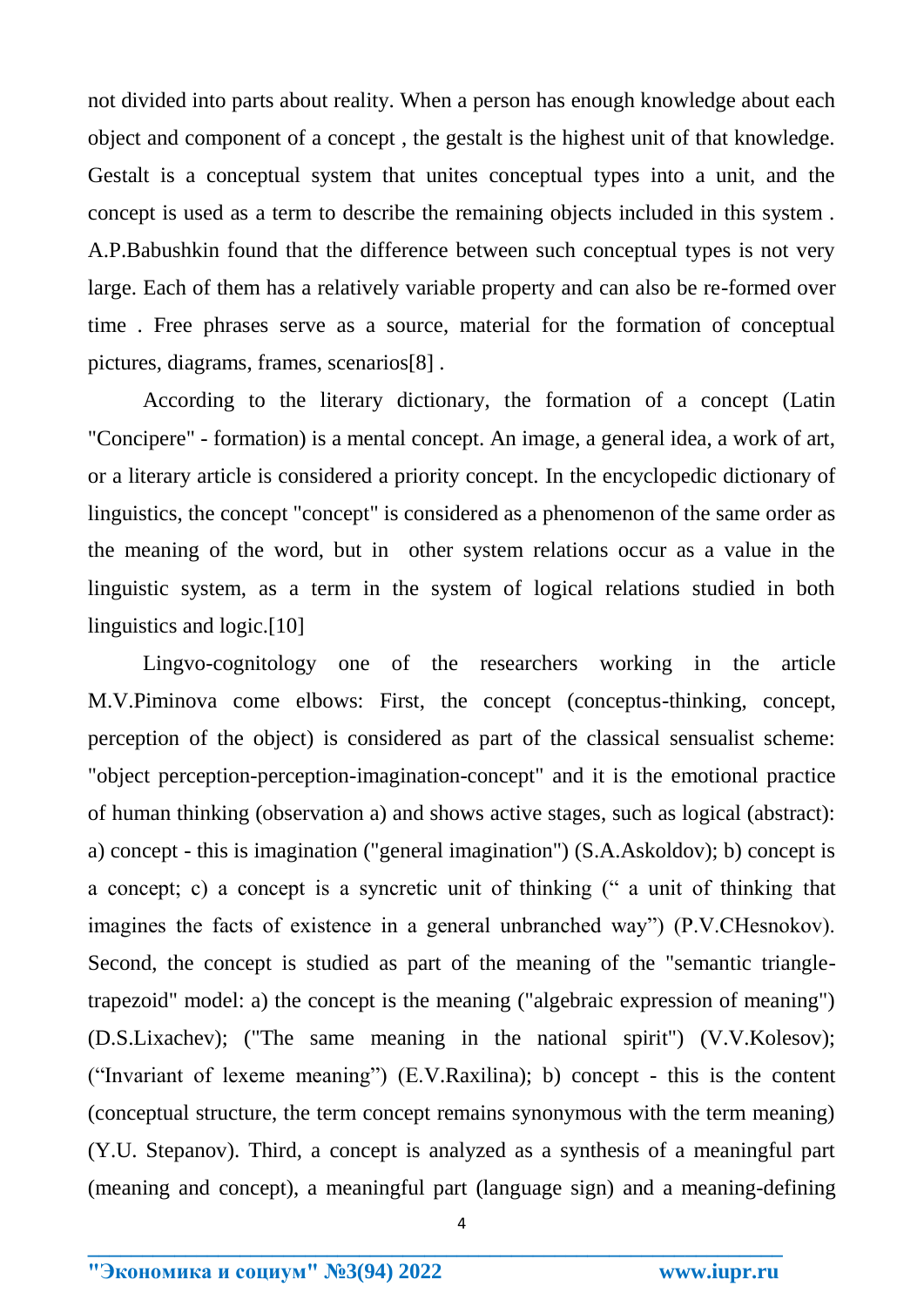not divided into parts about reality. When a person has enough knowledge about each object and component of a concept , the gestalt is the highest unit of that knowledge. Gestalt is a conceptual system that unites conceptual types into a unit, and the concept is used as a term to describe the remaining objects included in this system . A.P.Babushkin found that the difference between such conceptual types is not very large. Each of them has a relatively variable property and can also be re-formed over time . Free phrases serve as a source, material for the formation of conceptual pictures, diagrams, frames, scenarios[8] .

According to the literary dictionary, the formation of a concept (Latin "Concipere" - formation) is a mental concept. An image, a general idea, a work of art, or a literary article is considered a priority concept. In the encyclopedic dictionary of linguistics, the concept "concept" is considered as a phenomenon of the same order as the meaning of the word, but in other system relations occur as a value in the linguistic system, as a term in the system of logical relations studied in both linguistics and logic.[10]

Lingvo-cognitology one of the researchers working in the article M.V.Piminova come elbows: First, the concept (conceptus-thinking, concept, perception of the object) is considered as part of the classical sensualist scheme: "object perception-perception-imagination-concept" and it is the emotional practice of human thinking (observation a) and shows active stages, such as logical (abstract): a) concept - this is imagination ("general imagination") (S.A.Askoldov); b) concept is a concept; c) a concept is a syncretic unit of thinking (" a unit of thinking that imagines the facts of existence in a general unbranched way") (P.V.CHesnokov). Second, the concept is studied as part of the meaning of the "semantic triangletrapezoid" model: a) the concept is the meaning ("algebraic expression of meaning") (D.S.Lixachev); ("The same meaning in the national spirit") (V.V.Kolesov); ("Invariant of lexeme meaning") (E.V.Raxilina); b) concept - this is the content (conceptual structure, the term concept remains synonymous with the term meaning) (Y.U. Stepanov). Third, a concept is analyzed as a synthesis of a meaningful part (meaning and concept), a meaningful part (language sign) and a meaning-defining

4